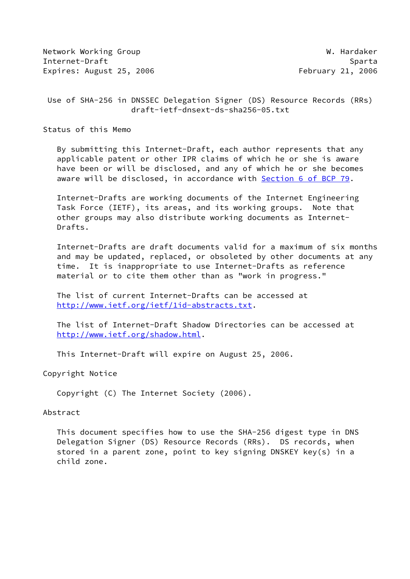Network Working Group Network W. Hardaker Internet-Draft Sparta Sparta Sparta Sparta Sparta Sparta Sparta Sparta Sparta Sparta Sparta Sparta Sparta Sparta Sparta Sparta Sparta Sparta Sparta Sparta Sparta Sparta Sparta Sparta Sparta Sparta Sparta Sparta Sparta Spar Expires: August 25, 2006 February 21, 2006

 Use of SHA-256 in DNSSEC Delegation Signer (DS) Resource Records (RRs) draft-ietf-dnsext-ds-sha256-05.txt

Status of this Memo

 By submitting this Internet-Draft, each author represents that any applicable patent or other IPR claims of which he or she is aware have been or will be disclosed, and any of which he or she becomes aware will be disclosed, in accordance with Section [6 of BCP 79.](https://datatracker.ietf.org/doc/pdf/bcp79#section-6)

 Internet-Drafts are working documents of the Internet Engineering Task Force (IETF), its areas, and its working groups. Note that other groups may also distribute working documents as Internet- Drafts.

 Internet-Drafts are draft documents valid for a maximum of six months and may be updated, replaced, or obsoleted by other documents at any time. It is inappropriate to use Internet-Drafts as reference material or to cite them other than as "work in progress."

 The list of current Internet-Drafts can be accessed at <http://www.ietf.org/ietf/1id-abstracts.txt>.

 The list of Internet-Draft Shadow Directories can be accessed at <http://www.ietf.org/shadow.html>.

This Internet-Draft will expire on August 25, 2006.

Copyright Notice

Copyright (C) The Internet Society (2006).

## Abstract

 This document specifies how to use the SHA-256 digest type in DNS Delegation Signer (DS) Resource Records (RRs). DS records, when stored in a parent zone, point to key signing DNSKEY key(s) in a child zone.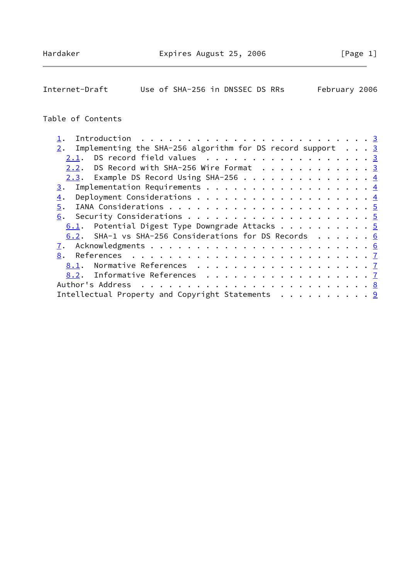Internet-Draft Use of SHA-256 in DNSSEC DS RRs February 2006

## Table of Contents

|  | Introduction $\ldots \ldots \ldots \ldots \ldots \ldots \ldots \ldots$<br>2. Implementing the SHA-256 algorithm for DS record support $\ldots$ 3<br>DS record field values $\ldots$ 3<br>2.2. DS Record with SHA-256 Wire Format 3<br>2.3. Example DS Record Using SHA-256 4<br>6.1. Potential Digest Type Downgrade Attacks 5<br>6.2. SHA-1 vs SHA-256 Considerations for DS Records 6<br><u>8.1</u> . Normative References <u>7</u><br>8.2. Informative References 7<br>Intellectual Property and Copyright Statements 9 |
|--|----------------------------------------------------------------------------------------------------------------------------------------------------------------------------------------------------------------------------------------------------------------------------------------------------------------------------------------------------------------------------------------------------------------------------------------------------------------------------------------------------------------------------|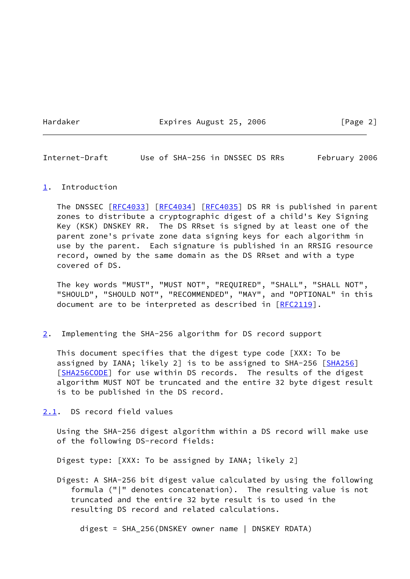Hardaker **Expires August 25, 2006** [Page 2]

<span id="page-2-1"></span>Internet-Draft Use of SHA-256 in DNSSEC DS RRs February 2006

## <span id="page-2-0"></span>[1](#page-2-0). Introduction

The DNSSEC [[RFC4033\]](https://datatracker.ietf.org/doc/pdf/rfc4033) [\[RFC4034](https://datatracker.ietf.org/doc/pdf/rfc4034)] [\[RFC4035](https://datatracker.ietf.org/doc/pdf/rfc4035)] DS RR is published in parent zones to distribute a cryptographic digest of a child's Key Signing Key (KSK) DNSKEY RR. The DS RRset is signed by at least one of the parent zone's private zone data signing keys for each algorithm in use by the parent. Each signature is published in an RRSIG resource record, owned by the same domain as the DS RRset and with a type covered of DS.

 The key words "MUST", "MUST NOT", "REQUIRED", "SHALL", "SHALL NOT", "SHOULD", "SHOULD NOT", "RECOMMENDED", "MAY", and "OPTIONAL" in this document are to be interpreted as described in [\[RFC2119](https://datatracker.ietf.org/doc/pdf/rfc2119)].

<span id="page-2-2"></span>[2](#page-2-2). Implementing the SHA-256 algorithm for DS record support

 This document specifies that the digest type code [XXX: To be assigned by IANA; likely 2] is to be assigned to SHA-256 [\[SHA256](#page-7-2)] [\[SHA256CODE\]](#page-7-3) for use within DS records. The results of the digest algorithm MUST NOT be truncated and the entire 32 byte digest result is to be published in the DS record.

<span id="page-2-3"></span>[2.1](#page-2-3). DS record field values

 Using the SHA-256 digest algorithm within a DS record will make use of the following DS-record fields:

Digest type: [XXX: To be assigned by IANA; likely 2]

 Digest: A SHA-256 bit digest value calculated by using the following formula ("|" denotes concatenation). The resulting value is not truncated and the entire 32 byte result is to used in the resulting DS record and related calculations.

digest = SHA\_256(DNSKEY owner name | DNSKEY RDATA)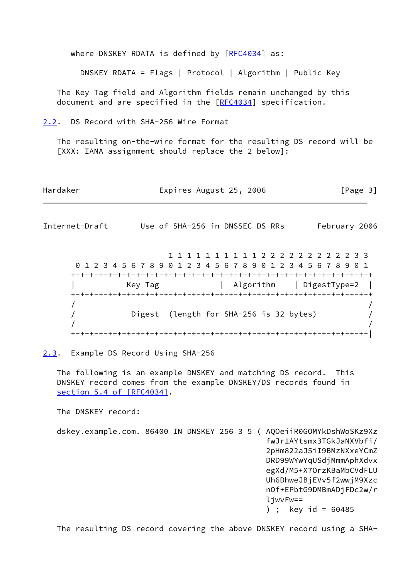where DNSKEY RDATA is defined by [\[RFC4034](https://datatracker.ietf.org/doc/pdf/rfc4034)] as:

DNSKEY RDATA = Flags | Protocol | Algorithm | Public Key

 The Key Tag field and Algorithm fields remain unchanged by this document and are specified in the [[RFC4034](https://datatracker.ietf.org/doc/pdf/rfc4034)] specification.

<span id="page-3-0"></span>[2.2](#page-3-0). DS Record with SHA-256 Wire Format

 The resulting on-the-wire format for the resulting DS record will be [XXX: IANA assignment should replace the 2 below]:

Hardaker **Expires August 25, 2006** [Page 3]

<span id="page-3-2"></span>Internet-Draft Use of SHA-256 in DNSSEC DS RRs February 2006

 1 1 1 1 1 1 1 1 1 1 2 2 2 2 2 2 2 2 2 2 3 3 0 1 2 3 4 5 6 7 8 9 0 1 2 3 4 5 6 7 8 9 0 1 2 3 4 5 6 7 8 9 0 1 +-+-+-+-+-+-+-+-+-+-+-+-+-+-+-+-+-+-+-+-+-+-+-+-+-+-+-+-+-+-+-+-+ | Key Tag | Algorithm | DigestType=2 | +-+-+-+-+-+-+-+-+-+-+-+-+-+-+-+-+-+-+-+-+-+-+-+-+-+-+-+-+-+-+-+-+  $/$  /  $/$  / Digest (length for SHA-256 is 32 bytes) /  $/$  /  $/$ +-+-+-+-+-+-+-+-+-+-+-+-+-+-+-+-+-+-+-+-+-+-+-+-+-+-+-+-+-+-+-+-|

<span id="page-3-1"></span>[2.3](#page-3-1). Example DS Record Using SHA-256

 The following is an example DNSKEY and matching DS record. This DNSKEY record comes from the example DNSKEY/DS records found in section [5.4 of \[RFC4034\]](https://datatracker.ietf.org/doc/pdf/rfc4034#section-5.4).

The DNSKEY record:

 dskey.example.com. 86400 IN DNSKEY 256 3 5 ( AQOeiiR0GOMYkDshWoSKz9Xz fwJr1AYtsmx3TGkJaNXVbfi/ 2pHm822aJ5iI9BMzNXxeYCmZ DRD99WYwYqUSdjMmmAphXdvx egXd/M5+X7OrzKBaMbCVdFLU Uh6DhweJBjEVv5f2wwjM9Xzc nOf+EPbtG9DMBmADjFDc2w/r ljwvFw== ) ; key id =  $60485$ 

The resulting DS record covering the above DNSKEY record using a SHA-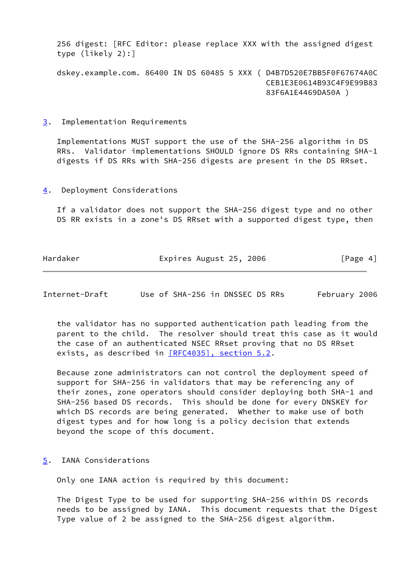256 digest: [RFC Editor: please replace XXX with the assigned digest type (likely 2):]

 dskey.example.com. 86400 IN DS 60485 5 XXX ( D4B7D520E7BB5F0F67674A0C CEB1E3E0614B93C4F9E99B83 83F6A1E4469DA50A )

<span id="page-4-0"></span>[3](#page-4-0). Implementation Requirements

 Implementations MUST support the use of the SHA-256 algorithm in DS RRs. Validator implementations SHOULD ignore DS RRs containing SHA-1 digests if DS RRs with SHA-256 digests are present in the DS RRset.

<span id="page-4-1"></span>[4](#page-4-1). Deployment Considerations

 If a validator does not support the SHA-256 digest type and no other DS RR exists in a zone's DS RRset with a supported digest type, then

Hardaker **Expires August 25, 2006** [Page 4]

<span id="page-4-3"></span>Internet-Draft Use of SHA-256 in DNSSEC DS RRs February 2006

 the validator has no supported authentication path leading from the parent to the child. The resolver should treat this case as it would the case of an authenticated NSEC RRset proving that no DS RRset exists, as described in [\[RFC4035\], section](https://datatracker.ietf.org/doc/pdf/rfc4035#section-5.2) 5.2.

 Because zone administrators can not control the deployment speed of support for SHA-256 in validators that may be referencing any of their zones, zone operators should consider deploying both SHA-1 and SHA-256 based DS records. This should be done for every DNSKEY for which DS records are being generated. Whether to make use of both digest types and for how long is a policy decision that extends beyond the scope of this document.

<span id="page-4-2"></span>[5](#page-4-2). IANA Considerations

Only one IANA action is required by this document:

 The Digest Type to be used for supporting SHA-256 within DS records needs to be assigned by IANA. This document requests that the Digest Type value of 2 be assigned to the SHA-256 digest algorithm.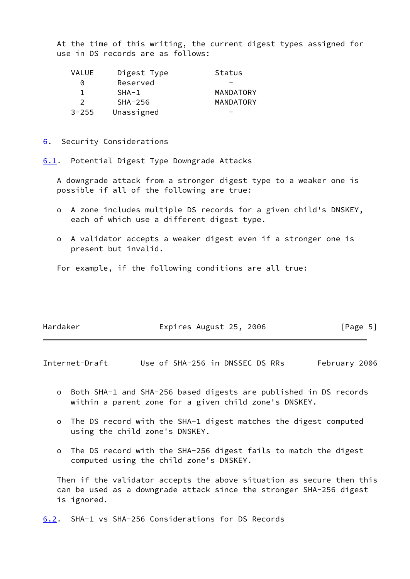At the time of this writing, the current digest types assigned for use in DS records are as follows:

| <b>VALUE</b>  | Digest Type | Status    |
|---------------|-------------|-----------|
| $\Theta$      | Reserved    |           |
|               | $SHA-1$     | MANDATORY |
| $\mathcal{P}$ | $SHA-256$   | MANDATORY |
| $3 - 255$     | Unassigned  |           |

<span id="page-5-0"></span>[6](#page-5-0). Security Considerations

<span id="page-5-1"></span>[6.1](#page-5-1). Potential Digest Type Downgrade Attacks

 A downgrade attack from a stronger digest type to a weaker one is possible if all of the following are true:

- o A zone includes multiple DS records for a given child's DNSKEY, each of which use a different digest type.
- o A validator accepts a weaker digest even if a stronger one is present but invalid.

For example, if the following conditions are all true:

| Hardaker | Expires August 25, 2006 | [Page 5] |
|----------|-------------------------|----------|
|          |                         |          |

<span id="page-5-3"></span>Internet-Draft Use of SHA-256 in DNSSEC DS RRs February 2006

- o Both SHA-1 and SHA-256 based digests are published in DS records within a parent zone for a given child zone's DNSKEY.
- o The DS record with the SHA-1 digest matches the digest computed using the child zone's DNSKEY.
- o The DS record with the SHA-256 digest fails to match the digest computed using the child zone's DNSKEY.

 Then if the validator accepts the above situation as secure then this can be used as a downgrade attack since the stronger SHA-256 digest is ignored.

<span id="page-5-2"></span>[6.2](#page-5-2). SHA-1 vs SHA-256 Considerations for DS Records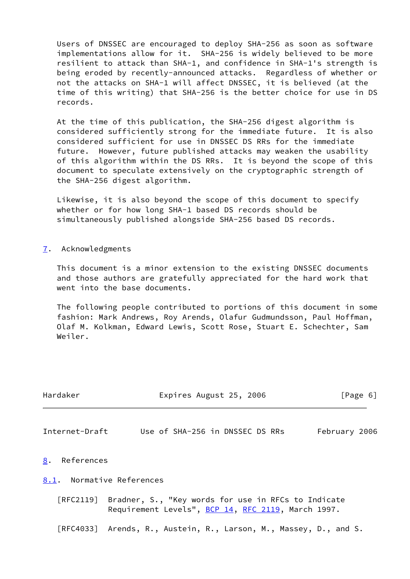Users of DNSSEC are encouraged to deploy SHA-256 as soon as software implementations allow for it. SHA-256 is widely believed to be more resilient to attack than SHA-1, and confidence in SHA-1's strength is being eroded by recently-announced attacks. Regardless of whether or not the attacks on SHA-1 will affect DNSSEC, it is believed (at the time of this writing) that SHA-256 is the better choice for use in DS records.

 At the time of this publication, the SHA-256 digest algorithm is considered sufficiently strong for the immediate future. It is also considered sufficient for use in DNSSEC DS RRs for the immediate future. However, future published attacks may weaken the usability of this algorithm within the DS RRs. It is beyond the scope of this document to speculate extensively on the cryptographic strength of the SHA-256 digest algorithm.

 Likewise, it is also beyond the scope of this document to specify whether or for how long SHA-1 based DS records should be simultaneously published alongside SHA-256 based DS records.

<span id="page-6-0"></span>[7](#page-6-0). Acknowledgments

 This document is a minor extension to the existing DNSSEC documents and those authors are gratefully appreciated for the hard work that went into the base documents.

 The following people contributed to portions of this document in some fashion: Mark Andrews, Roy Arends, Olafur Gudmundsson, Paul Hoffman, Olaf M. Kolkman, Edward Lewis, Scott Rose, Stuart E. Schechter, Sam Weiler.

<span id="page-6-3"></span><span id="page-6-2"></span><span id="page-6-1"></span>

| Hardaker                         | Expires August 25, 2006                                                                                   |               | [Page 6] |
|----------------------------------|-----------------------------------------------------------------------------------------------------------|---------------|----------|
| Internet-Draft                   | Use of SHA-256 in DNSSEC DS RRs                                                                           | February 2006 |          |
| 8. References                    |                                                                                                           |               |          |
|                                  | 8.1. Normative References                                                                                 |               |          |
| $\lceil \mathsf{RFC2119} \rceil$ | Bradner, S., "Key words for use in RFCs to Indicate<br>Requirement Levels", BCP 14, RFC 2119, March 1997. |               |          |
|                                  | [RFC4033] Arends, R., Austein, R., Larson, M., Massey, D., and S.                                         |               |          |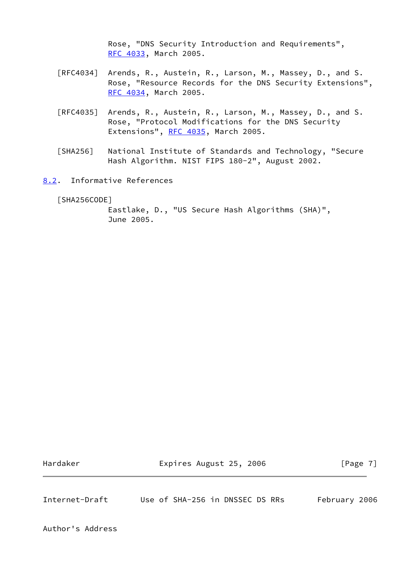Rose, "DNS Security Introduction and Requirements", [RFC 4033,](https://datatracker.ietf.org/doc/pdf/rfc4033) March 2005.

- [RFC4034] Arends, R., Austein, R., Larson, M., Massey, D., and S. Rose, "Resource Records for the DNS Security Extensions", [RFC 4034,](https://datatracker.ietf.org/doc/pdf/rfc4034) March 2005.
- [RFC4035] Arends, R., Austein, R., Larson, M., Massey, D., and S. Rose, "Protocol Modifications for the DNS Security Extensions", [RFC 4035](https://datatracker.ietf.org/doc/pdf/rfc4035), March 2005.
- <span id="page-7-2"></span> [SHA256] National Institute of Standards and Technology, "Secure Hash Algorithm. NIST FIPS 180-2", August 2002.
- <span id="page-7-0"></span>[8.2](#page-7-0). Informative References

<span id="page-7-3"></span>[SHA256CODE]

 Eastlake, D., "US Secure Hash Algorithms (SHA)", June 2005.

Hardaker **Expires August 25, 2006** [Page 7]

<span id="page-7-1"></span>Internet-Draft Use of SHA-256 in DNSSEC DS RRs February 2006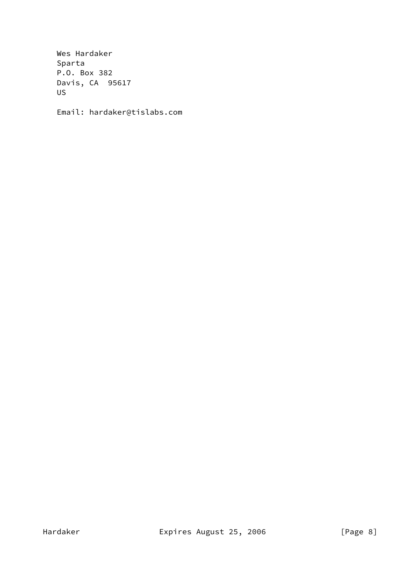Wes Hardaker Sparta P.O. Box 382 Davis, CA 95617 US

Email: hardaker@tislabs.com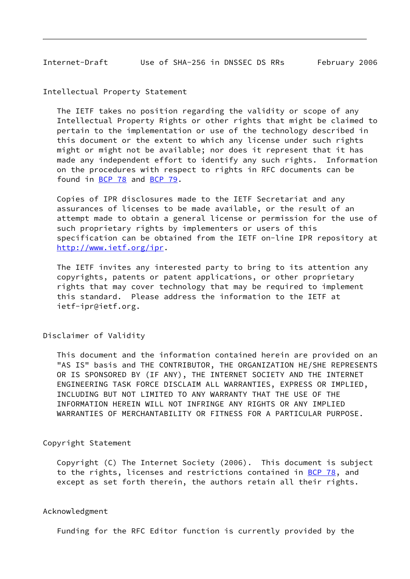<span id="page-9-0"></span>Internet-Draft Use of SHA-256 in DNSSEC DS RRs February 2006

Intellectual Property Statement

 The IETF takes no position regarding the validity or scope of any Intellectual Property Rights or other rights that might be claimed to pertain to the implementation or use of the technology described in this document or the extent to which any license under such rights might or might not be available; nor does it represent that it has made any independent effort to identify any such rights. Information on the procedures with respect to rights in RFC documents can be found in [BCP 78](https://datatracker.ietf.org/doc/pdf/bcp78) and [BCP 79](https://datatracker.ietf.org/doc/pdf/bcp79).

 Copies of IPR disclosures made to the IETF Secretariat and any assurances of licenses to be made available, or the result of an attempt made to obtain a general license or permission for the use of such proprietary rights by implementers or users of this specification can be obtained from the IETF on-line IPR repository at <http://www.ietf.org/ipr>.

 The IETF invites any interested party to bring to its attention any copyrights, patents or patent applications, or other proprietary rights that may cover technology that may be required to implement this standard. Please address the information to the IETF at ietf-ipr@ietf.org.

Disclaimer of Validity

 This document and the information contained herein are provided on an "AS IS" basis and THE CONTRIBUTOR, THE ORGANIZATION HE/SHE REPRESENTS OR IS SPONSORED BY (IF ANY), THE INTERNET SOCIETY AND THE INTERNET ENGINEERING TASK FORCE DISCLAIM ALL WARRANTIES, EXPRESS OR IMPLIED, INCLUDING BUT NOT LIMITED TO ANY WARRANTY THAT THE USE OF THE INFORMATION HEREIN WILL NOT INFRINGE ANY RIGHTS OR ANY IMPLIED WARRANTIES OF MERCHANTABILITY OR FITNESS FOR A PARTICULAR PURPOSE.

Copyright Statement

 Copyright (C) The Internet Society (2006). This document is subject to the rights, licenses and restrictions contained in [BCP 78](https://datatracker.ietf.org/doc/pdf/bcp78), and except as set forth therein, the authors retain all their rights.

## Acknowledgment

Funding for the RFC Editor function is currently provided by the